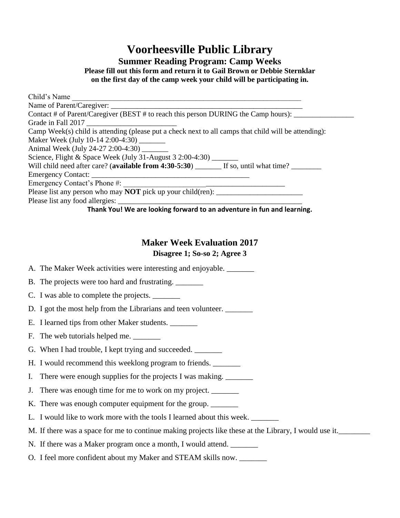# **Voorheesville Public Library**

**Summer Reading Program: Camp Weeks**

**Please fill out this form and return it to Gail Brown or Debbie Sternklar on the first day of the camp week your child will be participating in.**

**Thank You! We are looking forward to an adventure in fun and learning.**

### **Maker Week Evaluation 2017**

#### **Disagree 1; So-so 2; Agree 3**

A. The Maker Week activities were interesting and enjoyable. \_\_\_\_\_\_\_\_

B. The projects were too hard and frustrating.

C. I was able to complete the projects.

D. I got the most help from the Librarians and teen volunteer.

E. I learned tips from other Maker students.

F. The web tutorials helped me.

G. When I had trouble, I kept trying and succeeded.

H. I would recommend this weeklong program to friends.

I. There were enough supplies for the projects I was making.

J. There was enough time for me to work on my project.

K. There was enough computer equipment for the group. \_\_\_\_\_\_\_

L. I would like to work more with the tools I learned about this week. \_\_\_\_\_\_\_\_

M. If there was a space for me to continue making projects like these at the Library, I would use it.

N. If there was a Maker program once a month, I would attend.

O. I feel more confident about my Maker and STEAM skills now.